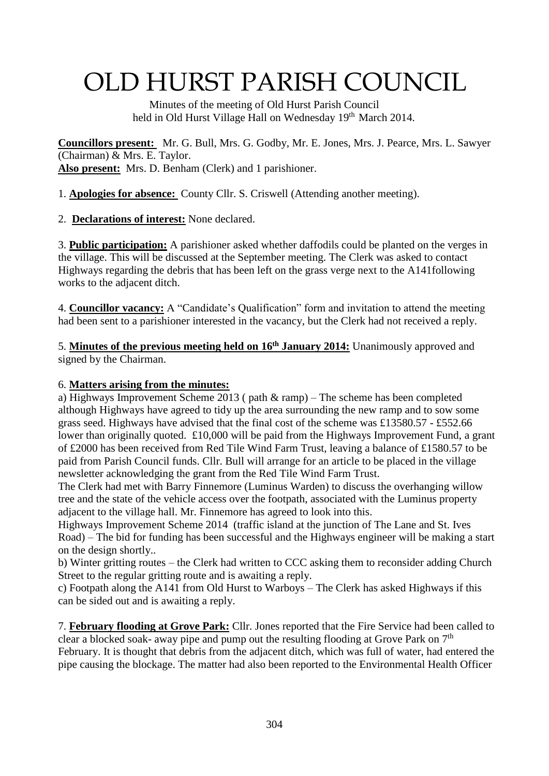# OLD HURST PARISH COUNCIL

 Minutes of the meeting of Old Hurst Parish Council held in Old Hurst Village Hall on Wednesday 19<sup>th</sup> March 2014.

**Councillors present:** Mr. G. Bull, Mrs. G. Godby, Mr. E. Jones, Mrs. J. Pearce, Mrs. L. Sawyer (Chairman) & Mrs. E. Taylor. **Also present:** Mrs. D. Benham (Clerk) and 1 parishioner.

1. **Apologies for absence:** County Cllr. S. Criswell (Attending another meeting).

2. **Declarations of interest:** None declared.

3. **Public participation:** A parishioner asked whether daffodils could be planted on the verges in the village. This will be discussed at the September meeting. The Clerk was asked to contact Highways regarding the debris that has been left on the grass verge next to the A141following works to the adjacent ditch.

4. **Councillor vacancy:** A "Candidate's Qualification" form and invitation to attend the meeting had been sent to a parishioner interested in the vacancy, but the Clerk had not received a reply.

5. **Minutes of the previous meeting held on 16th January 2014:** Unanimously approved and signed by the Chairman.

#### 6. **Matters arising from the minutes:**

a) Highways Improvement Scheme 2013 ( path & ramp) – The scheme has been completed although Highways have agreed to tidy up the area surrounding the new ramp and to sow some grass seed. Highways have advised that the final cost of the scheme was £13580.57 - £552.66 lower than originally quoted. £10,000 will be paid from the Highways Improvement Fund, a grant of £2000 has been received from Red Tile Wind Farm Trust, leaving a balance of £1580.57 to be paid from Parish Council funds. Cllr. Bull will arrange for an article to be placed in the village newsletter acknowledging the grant from the Red Tile Wind Farm Trust.

The Clerk had met with Barry Finnemore (Luminus Warden) to discuss the overhanging willow tree and the state of the vehicle access over the footpath, associated with the Luminus property adjacent to the village hall. Mr. Finnemore has agreed to look into this.

Highways Improvement Scheme 2014 (traffic island at the junction of The Lane and St. Ives Road) – The bid for funding has been successful and the Highways engineer will be making a start on the design shortly..

b) Winter gritting routes – the Clerk had written to CCC asking them to reconsider adding Church Street to the regular gritting route and is awaiting a reply.

c) Footpath along the A141 from Old Hurst to Warboys – The Clerk has asked Highways if this can be sided out and is awaiting a reply.

7. **February flooding at Grove Park:** Cllr. Jones reported that the Fire Service had been called to clear a blocked soak- away pipe and pump out the resulting flooding at Grove Park on  $7<sup>th</sup>$ February. It is thought that debris from the adjacent ditch, which was full of water, had entered the pipe causing the blockage. The matter had also been reported to the Environmental Health Officer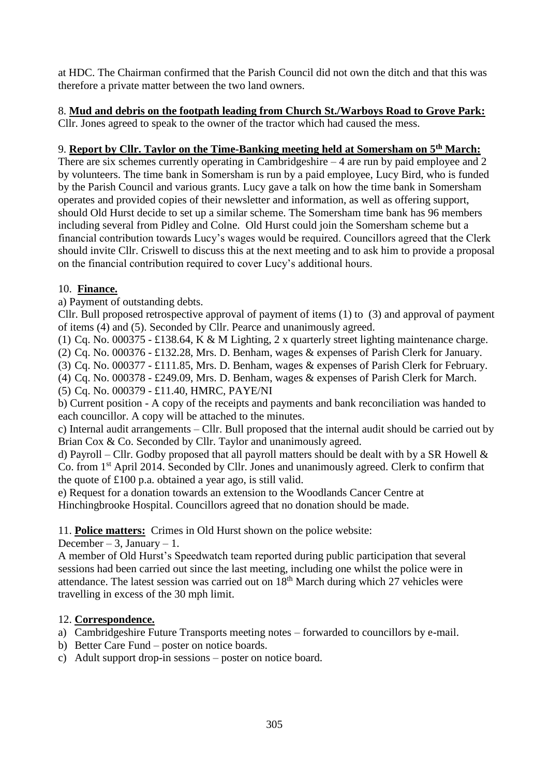at HDC. The Chairman confirmed that the Parish Council did not own the ditch and that this was therefore a private matter between the two land owners.

# 8. **Mud and debris on the footpath leading from Church St./Warboys Road to Grove Park:**

Cllr. Jones agreed to speak to the owner of the tractor which had caused the mess.

#### 9. **Report by Cllr. Taylor on the Time-Banking meeting held at Somersham on 5th March:**

There are six schemes currently operating in Cambridgeshire  $-4$  are run by paid employee and 2 by volunteers. The time bank in Somersham is run by a paid employee, Lucy Bird, who is funded by the Parish Council and various grants. Lucy gave a talk on how the time bank in Somersham operates and provided copies of their newsletter and information, as well as offering support, should Old Hurst decide to set up a similar scheme. The Somersham time bank has 96 members including several from Pidley and Colne. Old Hurst could join the Somersham scheme but a financial contribution towards Lucy's wages would be required. Councillors agreed that the Clerk should invite Cllr. Criswell to discuss this at the next meeting and to ask him to provide a proposal on the financial contribution required to cover Lucy's additional hours.

#### 10. **Finance.**

a) Payment of outstanding debts.

Cllr. Bull proposed retrospective approval of payment of items (1) to (3) and approval of payment of items (4) and (5). Seconded by Cllr. Pearce and unanimously agreed.

(1) Cq. No. 000375 - £138.64, K & M Lighting, 2 x quarterly street lighting maintenance charge.

(2) Cq. No. 000376 - £132.28, Mrs. D. Benham, wages & expenses of Parish Clerk for January.

(3) Cq. No. 000377 - £111.85, Mrs. D. Benham, wages & expenses of Parish Clerk for February.

(4) Cq. No. 000378 - £249.09, Mrs. D. Benham, wages & expenses of Parish Clerk for March.

(5) Cq. No. 000379 - £11.40, HMRC, PAYE/NI

b) Current position - A copy of the receipts and payments and bank reconciliation was handed to each councillor. A copy will be attached to the minutes.

c) Internal audit arrangements – Cllr. Bull proposed that the internal audit should be carried out by Brian Cox & Co. Seconded by Cllr. Taylor and unanimously agreed.

d) Payroll – Cllr. Godby proposed that all payroll matters should be dealt with by a SR Howell  $\&$ Co. from 1st April 2014. Seconded by Cllr. Jones and unanimously agreed. Clerk to confirm that the quote of £100 p.a. obtained a year ago, is still valid.

e) Request for a donation towards an extension to the Woodlands Cancer Centre at Hinchingbrooke Hospital. Councillors agreed that no donation should be made.

## 11. **Police matters:** Crimes in Old Hurst shown on the police website:

December – 3, January – 1.

A member of Old Hurst's Speedwatch team reported during public participation that several sessions had been carried out since the last meeting, including one whilst the police were in attendance. The latest session was carried out on  $18<sup>th</sup>$  March during which 27 vehicles were travelling in excess of the 30 mph limit.

## 12. **Correspondence.**

a) Cambridgeshire Future Transports meeting notes – forwarded to councillors by e-mail.

- b) Better Care Fund poster on notice boards.
- c) Adult support drop-in sessions poster on notice board.